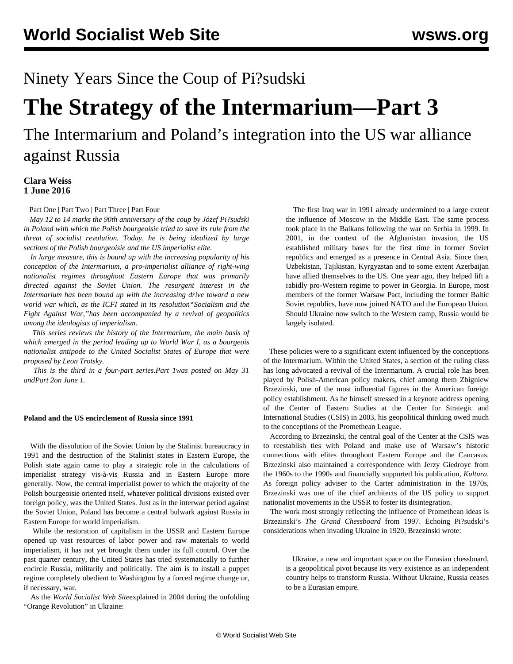Ninety Years Since the Coup of Pi?sudski

## **The Strategy of the Intermarium—Part 3**

The Intermarium and Poland's integration into the US war alliance against Russia

## **Clara Weiss 1 June 2016**

[Part One](/en/articles/2016/05/31/pil1-m31.html) | [Part Two](/en/articles/2016/06/01/pil2-j01.html) | [Part Three](/en/articles/2016/06/02/pil3-j02.html) | [Part Four](/en/articles/2016/06/03/pil4-j03.html)

 *May 12 to 14 marks the 90th anniversary of the coup by Józef Pi?sudski in Poland with which the Polish bourgeoisie tried to save its rule from the threat of socialist revolution. Today, he is being idealized by large sections of the Polish bourgeoisie and the US imperialist elite.*

 *In large measure, this is bound up with the increasing popularity of his conception of the Intermarium, a pro-imperialist alliance of right-wing nationalist regimes throughout Eastern Europe that was primarily directed against the Soviet Union. The resurgent interest in the Intermarium has been bound up with the increasing drive toward a new world war which, as the ICFI stated in its resolution"[Socialism and the](/en/articles/2016/02/18/icfi-f18.html) [Fight Against War](/en/articles/2016/02/18/icfi-f18.html),"has been accompanied by a revival of geopolitics among the ideologists of imperialism.*

 *This series reviews the history of the Intermarium, the main basis of which emerged in the period leading up to World War I, as a bourgeois nationalist antipode to the United Socialist States of Europe that were proposed by Leon Trotsky.*

 *This is the third in a four-part series.[Part 1](/en/articles/2016/05/31/pil1-m31.html)was posted on May 31 and[Part 2o](/en/articles/2016/06/01/pil2-j01.html)n June 1.*

## **Poland and the US encirclement of Russia since 1991**

 With the dissolution of the Soviet Union by the Stalinist bureaucracy in 1991 and the destruction of the Stalinist states in Eastern Europe, the Polish state again came to play a strategic role in the calculations of imperialist strategy vis-à-vis Russia and in Eastern Europe more generally. Now, the central imperialist power to which the majority of the Polish bourgeoisie oriented itself, whatever political divisions existed over foreign policy, was the United States. Just as in the interwar period against the Soviet Union, Poland has become a central bulwark against Russia in Eastern Europe for world imperialism.

 While the restoration of capitalism in the USSR and Eastern Europe opened up vast resources of labor power and raw materials to world imperialism, it has not yet brought them under its full control. Over the past quarter century, the United States has tried systematically to further encircle Russia, militarily and politically. The aim is to install a puppet regime completely obedient to Washington by a forced regime change or, if necessary, war.

 As the *World Socialist Web Site*[explained](/en/articles/2004/12/ukra-23d.html) in 2004 during the unfolding "Orange Revolution" in Ukraine:

 The first Iraq war in 1991 already undermined to a large extent the influence of Moscow in the Middle East. The same process took place in the Balkans following the war on Serbia in 1999. In 2001, in the context of the Afghanistan invasion, the US established military bases for the first time in former Soviet republics and emerged as a presence in Central Asia. Since then, Uzbekistan, Tajikistan, Kyrgyzstan and to some extent Azerbaijan have allied themselves to the US. One year ago, they helped lift a rabidly pro-Western regime to power in Georgia. In Europe, most members of the former Warsaw Pact, including the former Baltic Soviet republics, have now joined NATO and the European Union. Should Ukraine now switch to the Western camp, Russia would be largely isolated.

 These policies were to a significant extent influenced by the conceptions of the Intermarium. Within the United States, a section of the ruling class has long advocated a revival of the Intermarium. A crucial role has been played by Polish-American policy makers, chief among them Zbigniew Brzezinski, one of the most influential figures in the American foreign policy establishment. As he himself stressed in a [keynote address](http://csis.org/files/attachments/031003_brzezinski.pdf) opening of the Center of Eastern Studies at the Center for Strategic and International Studies (CSIS) in 2003, his geopolitical thinking owed much to the conceptions of the Promethean League.

 According to Brzezinski, the central goal of the Center at the CSIS was to reestablish ties with Poland and make use of Warsaw's historic connections with elites throughout Eastern Europe and the Caucasus. Brzezinski also maintained a correspondence with Jerzy Giedroyc from the 1960s to the 1990s and financially supported his publication, *Kultura*. As foreign policy adviser to the Carter administration in the 1970s, Brzezinski was one of the chief architects of the US policy to support nationalist movements in the USSR to foster its disintegration.

 The work most strongly reflecting the influence of Promethean ideas is Brzezinski's *The Grand Chessboard* from 1997. Echoing Pi?sudski's considerations when invading Ukraine in 1920, Brzezinski wrote:

 Ukraine, a new and important space on the Eurasian chessboard, is a geopolitical pivot because its very existence as an independent country helps to transform Russia. Without Ukraine, Russia ceases to be a Eurasian empire.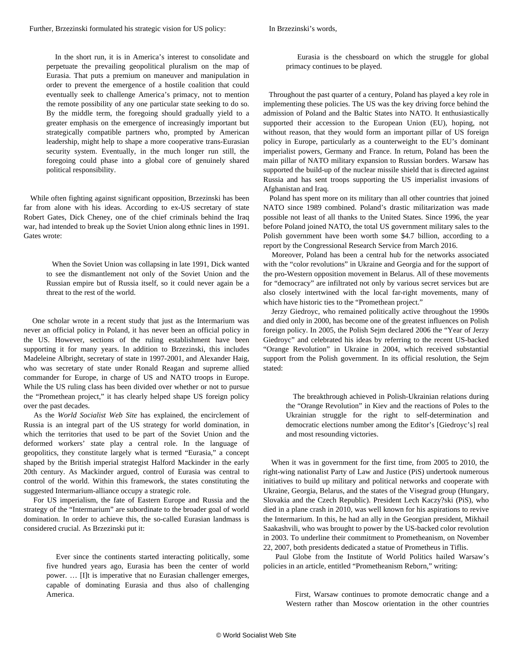In Brzezinski's words,

 In the short run, it is in America's interest to consolidate and perpetuate the prevailing geopolitical pluralism on the map of Eurasia. That puts a premium on maneuver and manipulation in order to prevent the emergence of a hostile coalition that could eventually seek to challenge America's primacy, not to mention the remote possibility of any one particular state seeking to do so. By the middle term, the foregoing should gradually yield to a greater emphasis on the emergence of increasingly important but strategically compatible partners who, prompted by American leadership, might help to shape a more cooperative trans-Eurasian security system. Eventually, in the much longer run still, the foregoing could phase into a global core of genuinely shared political responsibility.

 While often fighting against significant opposition, Brzezinski has been far from alone with his ideas. According to ex-US secretary of state Robert Gates, Dick Cheney, one of the chief criminals behind the Iraq war, had intended to break up the Soviet Union along ethnic lines in 1991. Gates wrote:

 When the Soviet Union was collapsing in late 1991, Dick wanted to see the dismantlement not only of the Soviet Union and the Russian empire but of Russia itself, so it could never again be a threat to the rest of the world.

 One scholar wrote in a recent study that just as the Intermarium was never an official policy in Poland, it has never been an official policy in the US. However, sections of the ruling establishment have been supporting it for many years. In addition to Brzezinski, this includes Madeleine Albright, secretary of state in 1997-2001, and Alexander Haig, who was secretary of state under Ronald Reagan and supreme allied commander for Europe, in charge of US and NATO troops in Europe. While the US ruling class has been divided over whether or not to pursue the "Promethean project," it has clearly helped shape US foreign policy over the past decades.

 As the *World Socialist Web Site* has explained, the encirclement of Russia is an integral part of the US strategy for world domination, in which the territories that used to be part of the Soviet Union and the deformed workers' state play a central role. In the language of geopolitics, they constitute largely what is termed "Eurasia," a concept shaped by the British imperial strategist Halford Mackinder in the early 20th century. As Mackinder argued, control of Eurasia was central to control of the world. Within this framework, the states constituting the suggested Intermarium-alliance occupy a strategic role.

 For US imperialism, the fate of Eastern Europe and Russia and the strategy of the "Intermarium" are subordinate to the broader goal of world domination. In order to achieve this, the so-called Eurasian landmass is considered crucial. As Brzezinski put it:

 Ever since the continents started interacting politically, some five hundred years ago, Eurasia has been the center of world power. … [I]t is imperative that no Eurasian challenger emerges, capable of dominating Eurasia and thus also of challenging America.

 Eurasia is the chessboard on which the struggle for global primacy continues to be played.

 Throughout the past quarter of a century, Poland has played a key role in implementing these policies. The US was the key driving force behind the admission of Poland and the Baltic States into NATO. It enthusiastically supported their accession to the European Union (EU), hoping, not without reason, that they would form an important pillar of US foreign policy in Europe, particularly as a counterweight to the EU's dominant imperialist powers, Germany and France. In return, Poland has been the main pillar of NATO military expansion to Russian borders. Warsaw has supported the build-up of the nuclear missile shield that is directed against Russia and has sent troops supporting the US imperialist invasions of Afghanistan and Iraq.

 Poland has spent more on its military than all other countries that joined NATO since 1989 combined. Poland's drastic militarization was made possible not least of all thanks to the United States. Since 1996, the year before Poland joined NATO, the total US government military sales to the Polish government have been worth some \$4.7 billion, according to a report by the Congressional Research Service from March 2016.

 Moreover, Poland has been a central hub for the networks associated with the "color revolutions" in Ukraine and Georgia and for the support of the pro-Western opposition movement in Belarus. All of these movements for "democracy" are infiltrated not only by various secret services but are also closely intertwined with the local far-right movements, many of which have historic ties to the "Promethean project."

 Jerzy Giedroyc, who remained politically active throughout the 1990s and died only in 2000, has become one of the greatest influences on Polish foreign policy. In 2005, the Polish Sejm declared 2006 the "Year of Jerzy Giedroyc" and celebrated his ideas by referring to the recent US-backed "Orange Revolution" in Ukraine in 2004, which received substantial support from the Polish government. In its official resolution, the Sejm stated:

 The breakthrough achieved in Polish-Ukrainian relations during the "Orange Revolution" in Kiev and the reactions of Poles to the Ukrainian struggle for the right to self-determination and democratic elections number among the Editor's [Giedroyc's] real and most resounding victories.

 When it was in government for the first time, from 2005 to 2010, the right-wing nationalist Party of Law and Justice (PiS) undertook numerous initiatives to build up military and political networks and cooperate with Ukraine, Georgia, Belarus, and the states of the Visegrad group (Hungary, Slovakia and the Czech Republic). President Lech Kaczy?ski (PiS), who died in a plane crash in 2010, was well known for his aspirations to revive the Intermarium. In this, he had an ally in the Georgian president, Mikhail Saakashvili, who was brought to power by the US-backed color revolution in 2003. To underline their commitment to Prometheanism, on November 22, 2007, both presidents dedicated a statue of Prometheus in Tiflis.

 Paul Globe from the Institute of World Politics hailed Warsaw's policies in an article, entitled "Prometheanism Reborn," writing:

 First, Warsaw continues to promote democratic change and a Western rather than Moscow orientation in the other countries